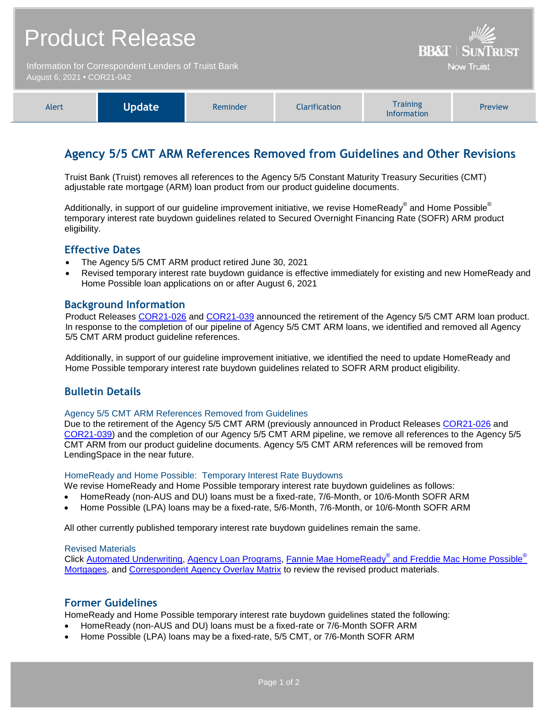| <b>Product Release</b><br>Information for Correspondent Lenders of Truist Bank<br>August 6, 2021 • COR21-042 |               |          |               | <b>BB&amp;T   SUNTRUST</b><br><b>Now Truist</b>             |                |
|--------------------------------------------------------------------------------------------------------------|---------------|----------|---------------|-------------------------------------------------------------|----------------|
| Alert                                                                                                        | <b>Update</b> | Reminder | Clarification | <b>Training</b><br>$\mathbf{r}$ . The state of $\mathbf{r}$ | <b>Preview</b> |

# **Agency 5/5 CMT ARM References Removed from Guidelines and Other Revisions**

Information

Truist Bank (Truist) removes all references to the Agency 5/5 Constant Maturity Treasury Securities (CMT) adjustable rate mortgage (ARM) loan product from our product guideline documents.

Additionally, in support of our guideline improvement initiative, we revise HomeReady® and Home Possible® temporary interest rate buydown guidelines related to Secured Overnight Financing Rate (SOFR) ARM product eligibility.

## **Effective Dates**

- The Agency 5/5 CMT ARM product retired June 30, 2021
- Revised temporary interest rate buydown guidance is effective immediately for existing and new HomeReady and Home Possible loan applications on or after August 6, 2021

## **Background Information**

Product Releases [COR21-026](https://www.truistsellerguide.com/Manual/cor/bulletins/archive/Cr21-026.pdf) and [COR21-039](https://www.truistsellerguide.com/Manual/cor/bulletins/Archive/Cr21-039.pdf) announced the retirement of the Agency 5/5 CMT ARM loan product. In response to the completion of our pipeline of Agency 5/5 CMT ARM loans, we identified and removed all Agency 5/5 CMT ARM product guideline references.

Additionally, in support of our guideline improvement initiative, we identified the need to update HomeReady and Home Possible temporary interest rate buydown guidelines related to SOFR ARM product eligibility.

## **Bulletin Details**

#### Agency 5/5 CMT ARM References Removed from Guidelines

Due to the retirement of the Agency 5/5 CMT ARM (previously announced in Product Releases [COR21-026](https://www.truistsellerguide.com/Manual/cor/bulletins/archive/Cr21-026.pdf) and [COR21-039\)](https://www.truistsellerguide.com/Manual/cor/bulletins/Archive/Cr21-039.pdf) and the completion of our Agency 5/5 CMT ARM pipeline, we remove all references to the Agency 5/5 CMT ARM from our product guideline documents. Agency 5/5 CMT ARM references will be removed from LendingSpace in the near future.

#### HomeReady and Home Possible: Temporary Interest Rate Buydowns

We revise HomeReady and Home Possible temporary interest rate buydown guidelines as follows:

- HomeReady (non-AUS and DU) loans must be a fixed-rate, 7/6-Month, or 10/6-Month SOFR ARM
- Home Possible (LPA) loans may be a fixed-rate, 5/6-Month, 7/6-Month, or 10/6-Month SOFR ARM

All other currently published temporary interest rate buydown guidelines remain the same.

#### Revised Materials

Click <u>Automated Underwriting, [Agency Loan Programs,](https://www.truistsellerguide.com/manual/cor/products/CAgency.pdf) Fannie Mae HomeReady<sup>®</sup> [and Freddie Mac Home Possible](https://www.truistsellerguide.com/Manual/cor/products/CHomeReadyandHomePossible.pdf)<sup>®</sup></u> [Mortgages,](https://www.truistsellerguide.com/Manual/cor/products/CHomeReadyandHomePossible.pdf) and [Correspondent Agency Overlay Matrix](https://www.truistsellerguide.com/manual/cor/products/CAgencyCreditOverlays.pdf) to review the revised product materials.

## **Former Guidelines**

HomeReady and Home Possible temporary interest rate buydown guidelines stated the following:

- HomeReady (non-AUS and DU) loans must be a fixed-rate or 7/6-Month SOFR ARM
- Home Possible (LPA) loans may be a fixed-rate, 5/5 CMT, or 7/6-Month SOFR ARM